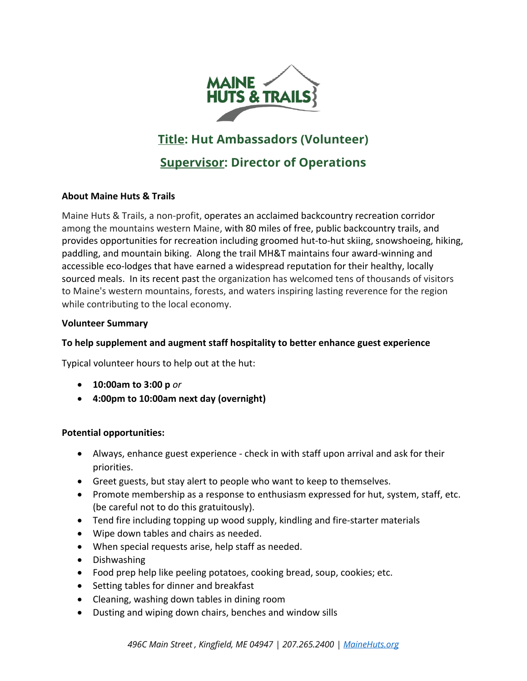

# **Title: Hut Ambassadors (Volunteer)**

## **Supervisor: Director of Operations**

## **About Maine Huts & Trails**

Maine Huts & Trails, a non-profit, operates an acclaimed backcountry recreation corridor among the mountains western Maine, with 80 miles of free, public backcountry trails, and provides opportunities for recreation including groomed hut-to-hut skiing, snowshoeing, hiking, paddling, and mountain biking. Along the trail MH&T maintains four award-winning and accessible eco-lodges that have earned a widespread reputation for their healthy, locally sourced meals. In its recent past the organization has welcomed tens of thousands of visitors to Maine's western mountains, forests, and waters inspiring lasting reverence for the region while contributing to the local economy.

#### **Volunteer Summary**

### **To help supplement and augment staff hospitality to better enhance guest experience**

Typical volunteer hours to help out at the hut:

- **10:00am to 3:00 p** *or*
- **4:00pm to 10:00am next day (overnight)**

#### **Potential opportunities:**

- Always, enhance guest experience check in with staff upon arrival and ask for their priorities.
- Greet guests, but stay alert to people who want to keep to themselves.
- Promote membership as a response to enthusiasm expressed for hut, system, staff, etc. (be careful not to do this gratuitously).
- Tend fire including topping up wood supply, kindling and fire-starter materials
- Wipe down tables and chairs as needed.
- When special requests arise, help staff as needed.
- Dishwashing
- Food prep help like peeling potatoes, cooking bread, soup, cookies; etc.
- Setting tables for dinner and breakfast
- Cleaning, washing down tables in dining room
- Dusting and wiping down chairs, benches and window sills